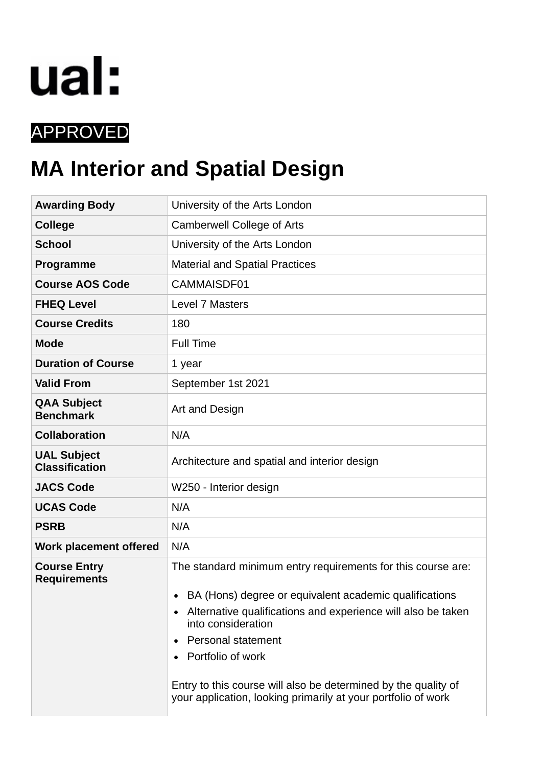

# APPROVED

# **MA Interior and Spatial Design**

| <b>Awarding Body</b>                        | University of the Arts London                                                                                                                                                                                                                                                                                                                                                                     |  |  |  |  |  |  |
|---------------------------------------------|---------------------------------------------------------------------------------------------------------------------------------------------------------------------------------------------------------------------------------------------------------------------------------------------------------------------------------------------------------------------------------------------------|--|--|--|--|--|--|
| <b>College</b>                              | <b>Camberwell College of Arts</b>                                                                                                                                                                                                                                                                                                                                                                 |  |  |  |  |  |  |
| <b>School</b>                               | University of the Arts London                                                                                                                                                                                                                                                                                                                                                                     |  |  |  |  |  |  |
| Programme                                   | <b>Material and Spatial Practices</b>                                                                                                                                                                                                                                                                                                                                                             |  |  |  |  |  |  |
| <b>Course AOS Code</b>                      | CAMMAISDF01                                                                                                                                                                                                                                                                                                                                                                                       |  |  |  |  |  |  |
| <b>FHEQ Level</b>                           | <b>Level 7 Masters</b>                                                                                                                                                                                                                                                                                                                                                                            |  |  |  |  |  |  |
| <b>Course Credits</b>                       | 180                                                                                                                                                                                                                                                                                                                                                                                               |  |  |  |  |  |  |
| <b>Mode</b>                                 | <b>Full Time</b>                                                                                                                                                                                                                                                                                                                                                                                  |  |  |  |  |  |  |
| <b>Duration of Course</b>                   | 1 year                                                                                                                                                                                                                                                                                                                                                                                            |  |  |  |  |  |  |
| <b>Valid From</b>                           | September 1st 2021                                                                                                                                                                                                                                                                                                                                                                                |  |  |  |  |  |  |
| <b>QAA Subject</b><br><b>Benchmark</b>      | Art and Design                                                                                                                                                                                                                                                                                                                                                                                    |  |  |  |  |  |  |
| <b>Collaboration</b>                        | N/A                                                                                                                                                                                                                                                                                                                                                                                               |  |  |  |  |  |  |
| <b>UAL Subject</b><br><b>Classification</b> | Architecture and spatial and interior design                                                                                                                                                                                                                                                                                                                                                      |  |  |  |  |  |  |
| <b>JACS Code</b>                            | W250 - Interior design                                                                                                                                                                                                                                                                                                                                                                            |  |  |  |  |  |  |
| <b>UCAS Code</b>                            | N/A                                                                                                                                                                                                                                                                                                                                                                                               |  |  |  |  |  |  |
| <b>PSRB</b>                                 | N/A                                                                                                                                                                                                                                                                                                                                                                                               |  |  |  |  |  |  |
| Work placement offered                      | N/A                                                                                                                                                                                                                                                                                                                                                                                               |  |  |  |  |  |  |
| <b>Course Entry</b><br><b>Requirements</b>  | The standard minimum entry requirements for this course are:<br>BA (Hons) degree or equivalent academic qualifications<br>Alternative qualifications and experience will also be taken<br>into consideration<br><b>Personal statement</b><br>Portfolio of work<br>Entry to this course will also be determined by the quality of<br>your application, looking primarily at your portfolio of work |  |  |  |  |  |  |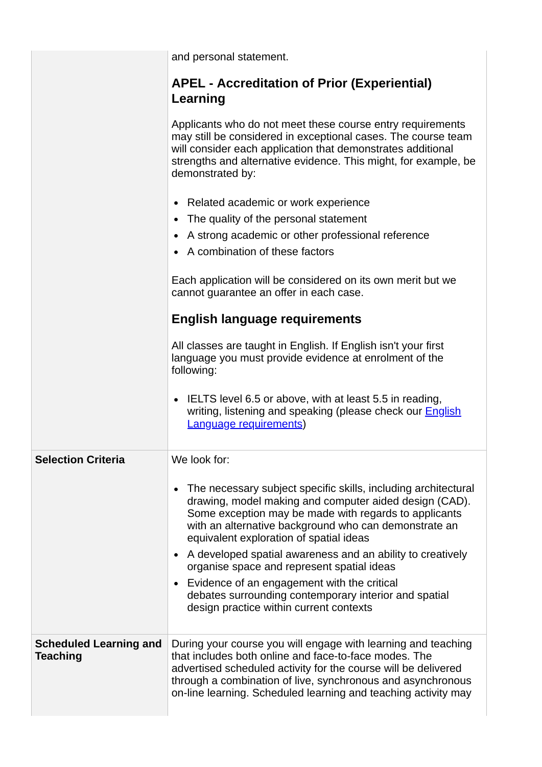|                                           | and personal statement.                                                                                                                                                                                                                                                                                                   |  |  |  |  |  |  |  |  |  |
|-------------------------------------------|---------------------------------------------------------------------------------------------------------------------------------------------------------------------------------------------------------------------------------------------------------------------------------------------------------------------------|--|--|--|--|--|--|--|--|--|
|                                           | <b>APEL - Accreditation of Prior (Experiential)</b><br>Learning                                                                                                                                                                                                                                                           |  |  |  |  |  |  |  |  |  |
|                                           | Applicants who do not meet these course entry requirements<br>may still be considered in exceptional cases. The course team<br>will consider each application that demonstrates additional<br>strengths and alternative evidence. This might, for example, be<br>demonstrated by:                                         |  |  |  |  |  |  |  |  |  |
|                                           | Related academic or work experience<br>$\bullet$                                                                                                                                                                                                                                                                          |  |  |  |  |  |  |  |  |  |
|                                           | The quality of the personal statement<br>٠                                                                                                                                                                                                                                                                                |  |  |  |  |  |  |  |  |  |
|                                           | A strong academic or other professional reference<br>$\bullet$                                                                                                                                                                                                                                                            |  |  |  |  |  |  |  |  |  |
|                                           | A combination of these factors                                                                                                                                                                                                                                                                                            |  |  |  |  |  |  |  |  |  |
|                                           | Each application will be considered on its own merit but we<br>cannot guarantee an offer in each case.                                                                                                                                                                                                                    |  |  |  |  |  |  |  |  |  |
|                                           | <b>English language requirements</b>                                                                                                                                                                                                                                                                                      |  |  |  |  |  |  |  |  |  |
|                                           | All classes are taught in English. If English isn't your first<br>language you must provide evidence at enrolment of the<br>following:                                                                                                                                                                                    |  |  |  |  |  |  |  |  |  |
|                                           | IELTS level 6.5 or above, with at least 5.5 in reading,<br>$\bullet$<br>writing, listening and speaking (please check our <b>English</b><br><b>Language requirements)</b>                                                                                                                                                 |  |  |  |  |  |  |  |  |  |
| <b>Selection Criteria</b>                 | We look for:                                                                                                                                                                                                                                                                                                              |  |  |  |  |  |  |  |  |  |
|                                           | The necessary subject specific skills, including architectural<br>$\bullet$<br>drawing, model making and computer aided design (CAD).<br>Some exception may be made with regards to applicants<br>with an alternative background who can demonstrate an<br>equivalent exploration of spatial ideas                        |  |  |  |  |  |  |  |  |  |
|                                           | A developed spatial awareness and an ability to creatively<br>$\bullet$<br>organise space and represent spatial ideas                                                                                                                                                                                                     |  |  |  |  |  |  |  |  |  |
|                                           | Evidence of an engagement with the critical<br>$\bullet$<br>debates surrounding contemporary interior and spatial<br>design practice within current contexts                                                                                                                                                              |  |  |  |  |  |  |  |  |  |
| <b>Scheduled Learning and</b><br>Teaching | During your course you will engage with learning and teaching<br>that includes both online and face-to-face modes. The<br>advertised scheduled activity for the course will be delivered<br>through a combination of live, synchronous and asynchronous<br>on-line learning. Scheduled learning and teaching activity may |  |  |  |  |  |  |  |  |  |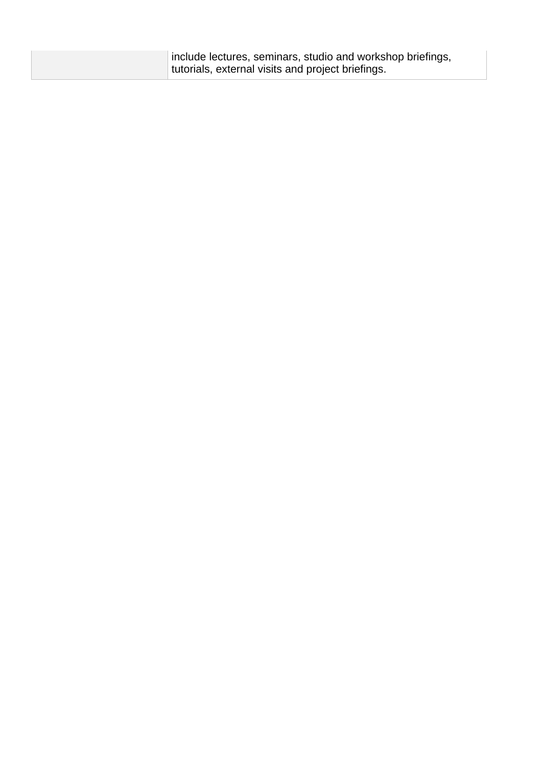| include lectures, seminars, studio and workshop briefings, |
|------------------------------------------------------------|
| tutorials, external visits and project briefings.          |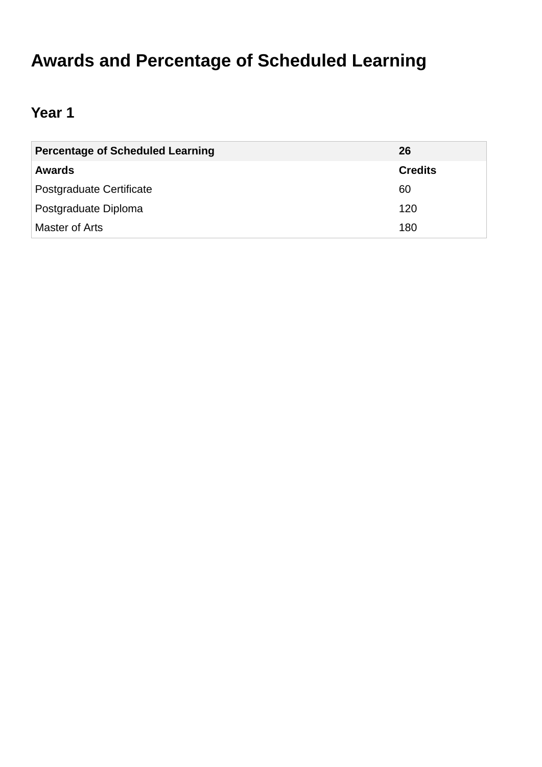# **Awards and Percentage of Scheduled Learning**

# **Year 1**

| <b>Percentage of Scheduled Learning</b> | 26             |
|-----------------------------------------|----------------|
| <b>Awards</b>                           | <b>Credits</b> |
| Postgraduate Certificate                | 60             |
| Postgraduate Diploma                    | 120            |
| Master of Arts                          | 180            |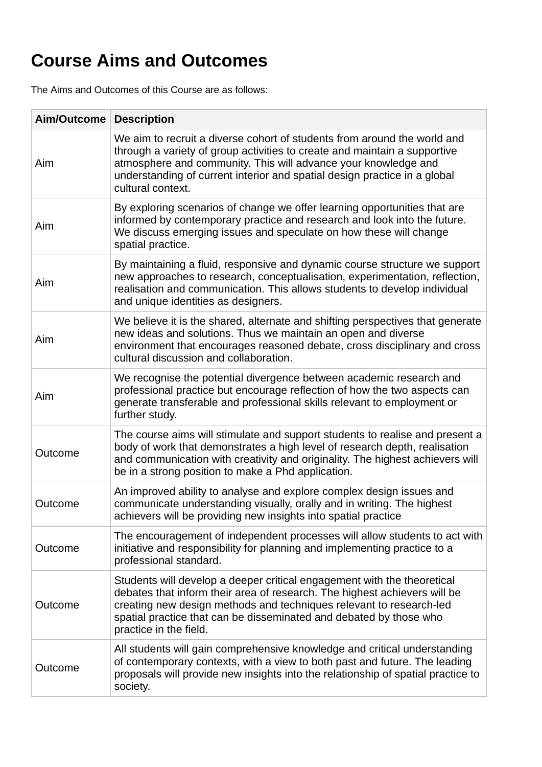# **Course Aims and Outcomes**

The Aims and Outcomes of this Course are as follows:

| Aim/Outcome | <b>Description</b>                                                                                                                                                                                                                                                                                                          |
|-------------|-----------------------------------------------------------------------------------------------------------------------------------------------------------------------------------------------------------------------------------------------------------------------------------------------------------------------------|
| Aim         | We aim to recruit a diverse cohort of students from around the world and<br>through a variety of group activities to create and maintain a supportive<br>atmosphere and community. This will advance your knowledge and<br>understanding of current interior and spatial design practice in a global<br>cultural context.   |
| Aim         | By exploring scenarios of change we offer learning opportunities that are<br>informed by contemporary practice and research and look into the future.<br>We discuss emerging issues and speculate on how these will change<br>spatial practice.                                                                             |
| Aim         | By maintaining a fluid, responsive and dynamic course structure we support<br>new approaches to research, conceptualisation, experimentation, reflection,<br>realisation and communication. This allows students to develop individual<br>and unique identities as designers.                                               |
| Aim         | We believe it is the shared, alternate and shifting perspectives that generate<br>new ideas and solutions. Thus we maintain an open and diverse<br>environment that encourages reasoned debate, cross disciplinary and cross<br>cultural discussion and collaboration.                                                      |
| Aim         | We recognise the potential divergence between academic research and<br>professional practice but encourage reflection of how the two aspects can<br>generate transferable and professional skills relevant to employment or<br>further study.                                                                               |
| Outcome     | The course aims will stimulate and support students to realise and present a<br>body of work that demonstrates a high level of research depth, realisation<br>and communication with creativity and originality. The highest achievers will<br>be in a strong position to make a Phd application.                           |
| Outcome     | An improved ability to analyse and explore complex design issues and<br>communicate understanding visually, orally and in writing. The highest<br>achievers will be providing new insights into spatial practice                                                                                                            |
| Outcome     | The encouragement of independent processes will allow students to act with<br>initiative and responsibility for planning and implementing practice to a<br>professional standard.                                                                                                                                           |
| Outcome     | Students will develop a deeper critical engagement with the theoretical<br>debates that inform their area of research. The highest achievers will be<br>creating new design methods and techniques relevant to research-led<br>spatial practice that can be disseminated and debated by those who<br>practice in the field. |
| Outcome     | All students will gain comprehensive knowledge and critical understanding<br>of contemporary contexts, with a view to both past and future. The leading<br>proposals will provide new insights into the relationship of spatial practice to<br>society.                                                                     |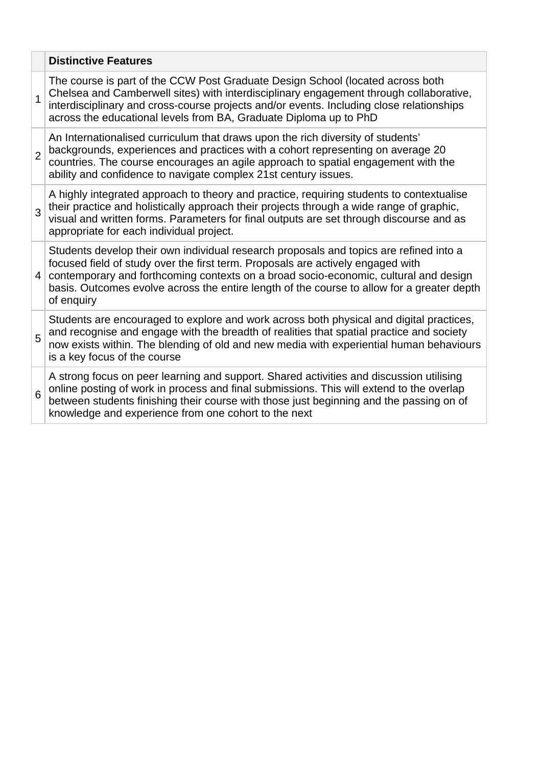|                | <b>Distinctive Features</b>                                                                                                                                                                                                                                                                                                                                                   |
|----------------|-------------------------------------------------------------------------------------------------------------------------------------------------------------------------------------------------------------------------------------------------------------------------------------------------------------------------------------------------------------------------------|
| $\mathbf{1}$   | The course is part of the CCW Post Graduate Design School (located across both<br>Chelsea and Camberwell sites) with interdisciplinary engagement through collaborative,<br>interdisciplinary and cross-course projects and/or events. Including close relationships<br>across the educational levels from BA, Graduate Diploma up to PhD                                     |
| $\overline{2}$ | An Internationalised curriculum that draws upon the rich diversity of students'<br>backgrounds, experiences and practices with a cohort representing on average 20<br>countries. The course encourages an agile approach to spatial engagement with the<br>ability and confidence to navigate complex 21st century issues.                                                    |
| 3              | A highly integrated approach to theory and practice, requiring students to contextualise<br>their practice and holistically approach their projects through a wide range of graphic,<br>visual and written forms. Parameters for final outputs are set through discourse and as<br>appropriate for each individual project.                                                   |
| 4              | Students develop their own individual research proposals and topics are refined into a<br>focused field of study over the first term. Proposals are actively engaged with<br>contemporary and forthcoming contexts on a broad socio-economic, cultural and design<br>basis. Outcomes evolve across the entire length of the course to allow for a greater depth<br>of enquiry |
| 5              | Students are encouraged to explore and work across both physical and digital practices,<br>and recognise and engage with the breadth of realities that spatial practice and society<br>now exists within. The blending of old and new media with experiential human behaviours<br>is a key focus of the course                                                                |
| 6              | A strong focus on peer learning and support. Shared activities and discussion utilising<br>online posting of work in process and final submissions. This will extend to the overlap<br>between students finishing their course with those just beginning and the passing on of<br>knowledge and experience from one cohort to the next                                        |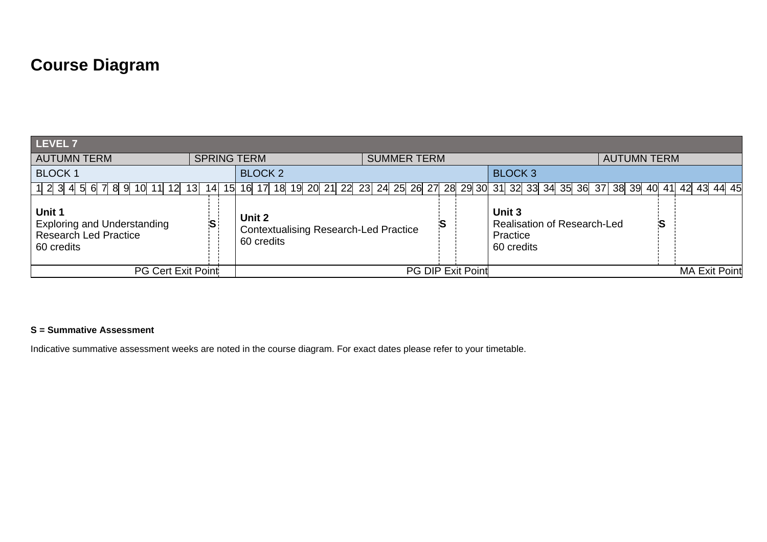# **Course Diagram**

| LEVEL 7                                                                                    |                          |                      |                                                                                           |  |  |  |                    |  |  |  |  |                                                                        |                      |  |  |  |                    |  |   |  |  |
|--------------------------------------------------------------------------------------------|--------------------------|----------------------|-------------------------------------------------------------------------------------------|--|--|--|--------------------|--|--|--|--|------------------------------------------------------------------------|----------------------|--|--|--|--------------------|--|---|--|--|
| <b>AUTUMN TERM</b>                                                                         |                          | <b>SPRING TERM</b>   |                                                                                           |  |  |  | <b>SUMMER TERM</b> |  |  |  |  |                                                                        |                      |  |  |  | <b>AUTUMN TERM</b> |  |   |  |  |
| <b>BLOCK 1</b>                                                                             |                          | <b>BLOCK 2</b>       |                                                                                           |  |  |  |                    |  |  |  |  | <b>BLOCK 3</b>                                                         |                      |  |  |  |                    |  |   |  |  |
| 1 2 3 4 5 6 7 8 9 10 11 12 13                                                              | 14<br>15                 |                      | 16 17 18 19 20 21 22 23 24 25 26 27 28 29 30 31 32 33 34 35 36 37 38 39 40 41 42 43 44 45 |  |  |  |                    |  |  |  |  |                                                                        |                      |  |  |  |                    |  |   |  |  |
| Unit 1<br><b>Exploring and Understanding</b><br><b>Research Led Practice</b><br>60 credits |                          | Unit 2<br>60 credits | <b>Contextualising Research-Led Practice</b>                                              |  |  |  |                    |  |  |  |  | Unit 3<br><b>Realisation of Research-Led</b><br>Practice<br>60 credits |                      |  |  |  |                    |  | S |  |  |
| PG Cert Exit Point                                                                         | <b>PG DIP Exit Point</b> |                      |                                                                                           |  |  |  |                    |  |  |  |  |                                                                        | <b>MA Exit Point</b> |  |  |  |                    |  |   |  |  |

#### **S = Summative Assessment**

Indicative summative assessment weeks are noted in the course diagram. For exact dates please refer to your timetable.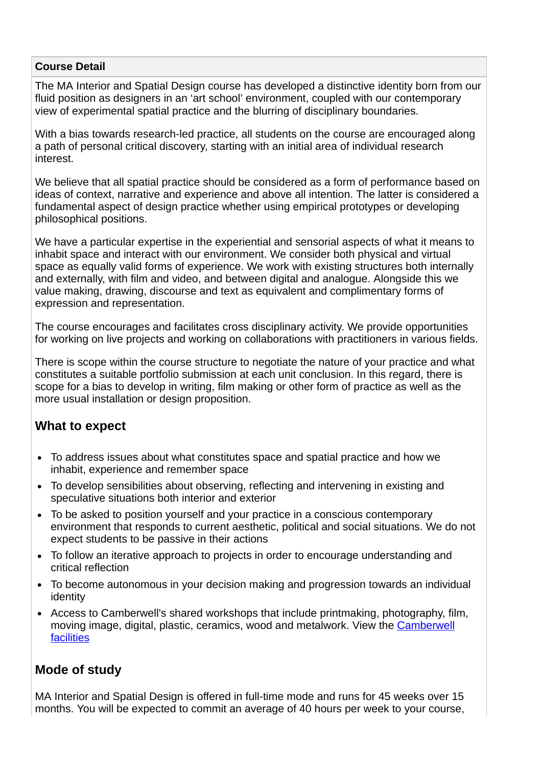#### **Course Detail**

The MA Interior and Spatial Design course has developed a distinctive identity born from our fluid position as designers in an 'art school' environment, coupled with our contemporary view of experimental spatial practice and the blurring of disciplinary boundaries.

With a bias towards research-led practice, all students on the course are encouraged along a path of personal critical discovery, starting with an initial area of individual research interest.

We believe that all spatial practice should be considered as a form of performance based on ideas of context, narrative and experience and above all intention. The latter is considered a fundamental aspect of design practice whether using empirical prototypes or developing philosophical positions.

We have a particular expertise in the experiential and sensorial aspects of what it means to inhabit space and interact with our environment. We consider both physical and virtual space as equally valid forms of experience. We work with existing structures both internally and externally, with film and video, and between digital and analogue. Alongside this we value making, drawing, discourse and text as equivalent and complimentary forms of expression and representation.

The course encourages and facilitates cross disciplinary activity. We provide opportunities for working on live projects and working on collaborations with practitioners in various fields.

There is scope within the course structure to negotiate the nature of your practice and what constitutes a suitable portfolio submission at each unit conclusion. In this regard, there is scope for a bias to develop in writing, film making or other form of practice as well as the more usual installation or design proposition.

### **What to expect**

- To address issues about what constitutes space and spatial practice and how we inhabit, experience and remember space
- To develop sensibilities about observing, reflecting and intervening in existing and speculative situations both interior and exterior
- To be asked to position yourself and your practice in a conscious contemporary environment that responds to current aesthetic, political and social situations. We do not expect students to be passive in their actions
- To follow an iterative approach to projects in order to encourage understanding and critical reflection
- To become autonomous in your decision making and progression towards an individual identity
- Access to Camberwell's shared workshops that include printmaking, photography, film, [moving image, digital, plastic, ceramics, wood and metalwork. View the Camberwell](https://www.arts.ac.uk/colleges/camberwell-college-of-arts/student-life-at-camberwell/facilities) facilities

### **Mode of study**

MA Interior and Spatial Design is offered in full-time mode and runs for 45 weeks over 15 months. You will be expected to commit an average of 40 hours per week to your course,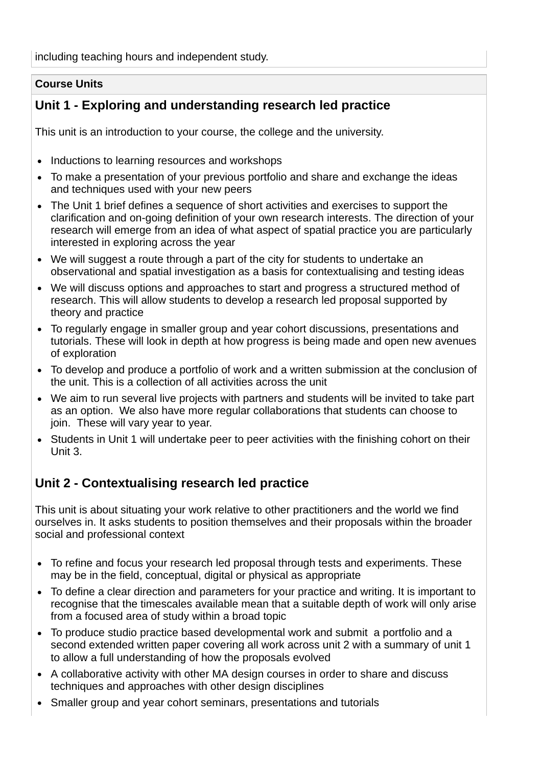including teaching hours and independent study.

#### **Course Units**

### **Unit 1 - Exploring and understanding research led practice**

This unit is an introduction to your course, the college and the university.

- Inductions to learning resources and workshops
- To make a presentation of your previous portfolio and share and exchange the ideas and techniques used with your new peers
- The Unit 1 brief defines a sequence of short activities and exercises to support the clarification and on-going definition of your own research interests. The direction of your research will emerge from an idea of what aspect of spatial practice you are particularly interested in exploring across the year
- We will suggest a route through a part of the city for students to undertake an observational and spatial investigation as a basis for contextualising and testing ideas
- We will discuss options and approaches to start and progress a structured method of research. This will allow students to develop a research led proposal supported by theory and practice
- To regularly engage in smaller group and year cohort discussions, presentations and tutorials. These will look in depth at how progress is being made and open new avenues of exploration
- To develop and produce a portfolio of work and a written submission at the conclusion of the unit. This is a collection of all activities across the unit
- We aim to run several live projects with partners and students will be invited to take part as an option. We also have more regular collaborations that students can choose to join. These will vary year to year.
- Students in Unit 1 will undertake peer to peer activities with the finishing cohort on their Unit 3.

### **Unit 2 - Contextualising research led practice**

This unit is about situating your work relative to other practitioners and the world we find ourselves in. It asks students to position themselves and their proposals within the broader social and professional context

- To refine and focus your research led proposal through tests and experiments. These may be in the field, conceptual, digital or physical as appropriate
- To define a clear direction and parameters for your practice and writing. It is important to recognise that the timescales available mean that a suitable depth of work will only arise from a focused area of study within a broad topic
- To produce studio practice based developmental work and submit a portfolio and a second extended written paper covering all work across unit 2 with a summary of unit 1 to allow a full understanding of how the proposals evolved
- A collaborative activity with other MA design courses in order to share and discuss techniques and approaches with other design disciplines
- Smaller group and year cohort seminars, presentations and tutorials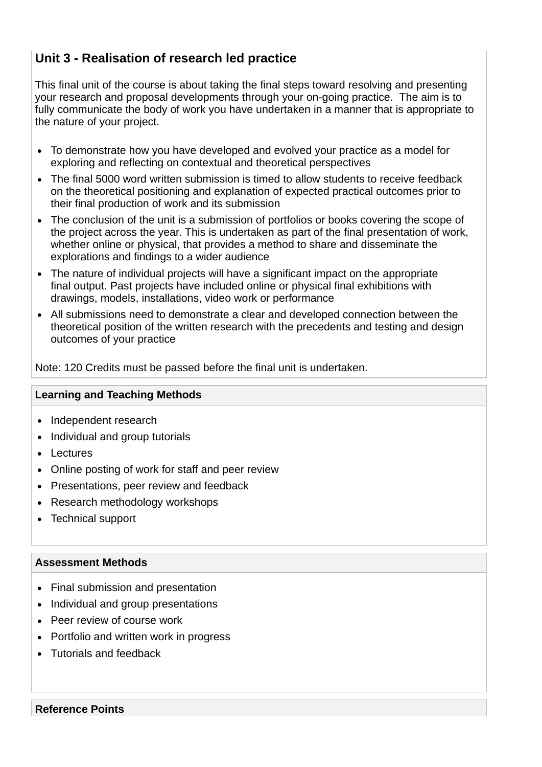## **Unit 3 - Realisation of research led practice**

This final unit of the course is about taking the final steps toward resolving and presenting your research and proposal developments through your on-going practice. The aim is to fully communicate the body of work you have undertaken in a manner that is appropriate to the nature of your project.

- To demonstrate how you have developed and evolved your practice as a model for exploring and reflecting on contextual and theoretical perspectives
- The final 5000 word written submission is timed to allow students to receive feedback on the theoretical positioning and explanation of expected practical outcomes prior to their final production of work and its submission
- The conclusion of the unit is a submission of portfolios or books covering the scope of the project across the year. This is undertaken as part of the final presentation of work, whether online or physical, that provides a method to share and disseminate the explorations and findings to a wider audience
- The nature of individual projects will have a significant impact on the appropriate final output. Past projects have included online or physical final exhibitions with drawings, models, installations, video work or performance
- All submissions need to demonstrate a clear and developed connection between the theoretical position of the written research with the precedents and testing and design outcomes of your practice

Note: 120 Credits must be passed before the final unit is undertaken.

#### **Learning and Teaching Methods**

- Independent research
- Individual and group tutorials
- Lectures
- Online posting of work for staff and peer review
- Presentations, peer review and feedback
- Research methodology workshops
- Technical support

#### **Assessment Methods**

- Final submission and presentation
- Individual and group presentations
- Peer review of course work
- Portfolio and written work in progress
- Tutorials and feedback